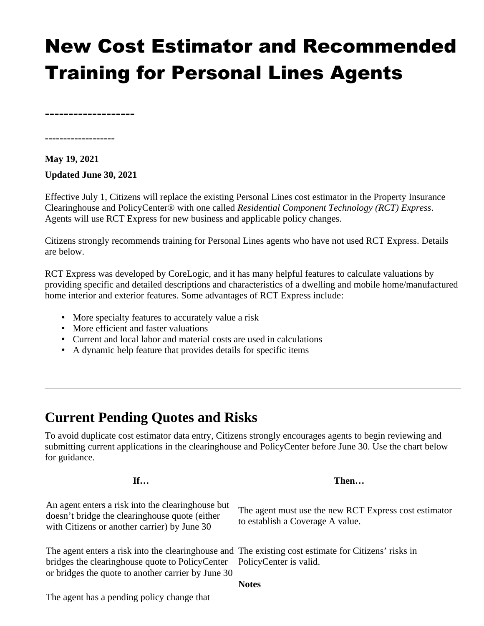# New Cost Estimator and Recommended Training for Personal Lines Agents

**-------------------**

**-------------------**

### **May 19, 2021 Updated June 30, 2021**

Effective July 1, Citizens will replace the existing Personal Lines cost estimator in the Property Insurance Clearinghouse and PolicyCenter® with one called *Residential Component Technology (RCT) Express*. Agents will use RCT Express for new business and applicable policy changes.

Citizens strongly recommends training for Personal Lines agents who have not used RCT Express. Details are below.

RCT Express was developed by CoreLogic, and it has many helpful features to calculate valuations by providing specific and detailed descriptions and characteristics of a dwelling and mobile home/manufactured home interior and exterior features. Some advantages of RCT Express include:

- More specialty features to accurately value a risk
- More efficient and faster valuations
- Current and local labor and material costs are used in calculations
- A dynamic help feature that provides details for specific items

# **Current Pending Quotes and Risks**

To avoid duplicate cost estimator data entry, Citizens strongly encourages agents to begin reviewing and submitting current applications in the clearinghouse and PolicyCenter before June 30. Use the chart below for guidance.

| If                                                                                                                                                                                                                                   | Then                                                                                      |
|--------------------------------------------------------------------------------------------------------------------------------------------------------------------------------------------------------------------------------------|-------------------------------------------------------------------------------------------|
| An agent enters a risk into the clearinghouse but<br>doesn't bridge the clearinghouse quote (either<br>with Citizens or another carrier) by June 30                                                                                  | The agent must use the new RCT Express cost estimator<br>to establish a Coverage A value. |
| The agent enters a risk into the clearinghouse and The existing cost estimate for Citizens' risks in<br>bridges the clearinghouse quote to PolicyCenter PolicyCenter is valid.<br>or bridges the quote to another carrier by June 30 |                                                                                           |
|                                                                                                                                                                                                                                      | <b>Notes</b>                                                                              |
| The agent has a pending policy change that                                                                                                                                                                                           |                                                                                           |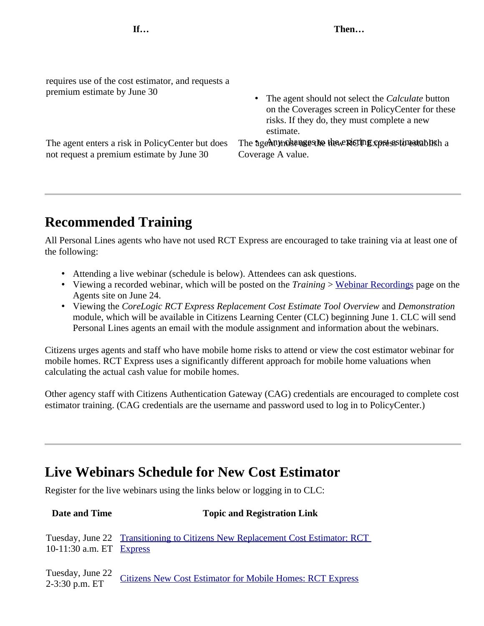requires use of the cost estimator, and requests a premium estimate by June 30

not request a premium estimate by June 30

• The agent should not select the *Calculate* button on the Coverages screen in PolicyCenter for these risks. If they do, they must complete a new estimate.

The agent enters a risk in PolicyCenter but does The agent most uses the the existing constants to a Coverage A value.

# **Recommended Training**

All Personal Lines agents who have not used RCT Express are encouraged to take training via at least one of the following:

- Attending a live webinar (schedule is below). Attendees can ask questions.
- Viewing a recorded webinar, which will be posted on the *Training* > [Webinar Recordings](https://www.citizensfla.com/group/agents/webinar-recordings) page on the Agents site on June 24.
- Viewing the *CoreLogic RCT Express Replacement Cost Estimate Tool Overview* and *Demonstration* module, which will be available in Citizens Learning Center (CLC) beginning June 1. CLC will send Personal Lines agents an email with the module assignment and information about the webinars.

Citizens urges agents and staff who have mobile home risks to attend or view the cost estimator webinar for mobile homes. RCT Express uses a significantly different approach for mobile home valuations when calculating the actual cash value for mobile homes.

Other agency staff with Citizens Authentication Gateway (CAG) credentials are encouraged to complete cost estimator training. (CAG credentials are the username and password used to log in to PolicyCenter.)

## **Live Webinars Schedule for New Cost Estimator**

Register for the live webinars using the links below or logging in to CLC:

| Date and Time                      | <b>Topic and Registration Link</b>                                             |
|------------------------------------|--------------------------------------------------------------------------------|
| 10-11:30 a.m. ET Express           | Tuesday, June 22 Transitioning to Citizens New Replacement Cost Estimator: RCT |
| Tuesday, June 22<br>2-3:30 p.m. ET | <b>Citizens New Cost Estimator for Mobile Homes: RCT Express</b>               |